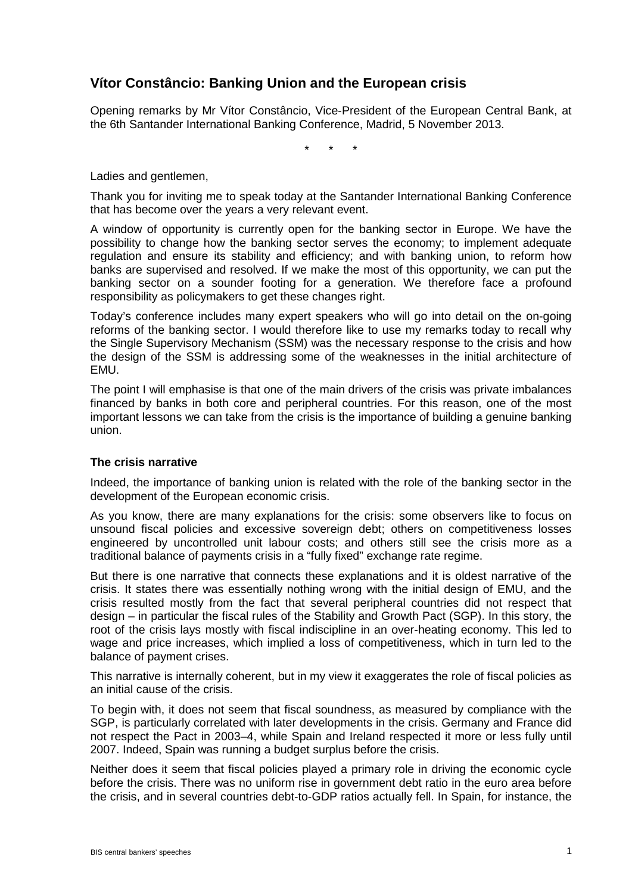# **Vítor Constâncio: Banking Union and the European crisis**

Opening remarks by Mr Vítor Constâncio, Vice-President of the European Central Bank, at the 6th Santander International Banking Conference, Madrid, 5 November 2013.

\* \* \*

Ladies and gentlemen,

Thank you for inviting me to speak today at the Santander International Banking Conference that has become over the years a very relevant event.

A window of opportunity is currently open for the banking sector in Europe. We have the possibility to change how the banking sector serves the economy; to implement adequate regulation and ensure its stability and efficiency; and with banking union, to reform how banks are supervised and resolved. If we make the most of this opportunity, we can put the banking sector on a sounder footing for a generation. We therefore face a profound responsibility as policymakers to get these changes right.

Today's conference includes many expert speakers who will go into detail on the on-going reforms of the banking sector. I would therefore like to use my remarks today to recall why the Single Supervisory Mechanism (SSM) was the necessary response to the crisis and how the design of the SSM is addressing some of the weaknesses in the initial architecture of EMU.

The point I will emphasise is that one of the main drivers of the crisis was private imbalances financed by banks in both core and peripheral countries. For this reason, one of the most important lessons we can take from the crisis is the importance of building a genuine banking union.

## **The crisis narrative**

Indeed, the importance of banking union is related with the role of the banking sector in the development of the European economic crisis.

As you know, there are many explanations for the crisis: some observers like to focus on unsound fiscal policies and excessive sovereign debt; others on competitiveness losses engineered by uncontrolled unit labour costs; and others still see the crisis more as a traditional balance of payments crisis in a "fully fixed" exchange rate regime.

But there is one narrative that connects these explanations and it is oldest narrative of the crisis. It states there was essentially nothing wrong with the initial design of EMU, and the crisis resulted mostly from the fact that several peripheral countries did not respect that design – in particular the fiscal rules of the Stability and Growth Pact (SGP). In this story, the root of the crisis lays mostly with fiscal indiscipline in an over-heating economy. This led to wage and price increases, which implied a loss of competitiveness, which in turn led to the balance of payment crises.

This narrative is internally coherent, but in my view it exaggerates the role of fiscal policies as an initial cause of the crisis.

To begin with, it does not seem that fiscal soundness, as measured by compliance with the SGP, is particularly correlated with later developments in the crisis. Germany and France did not respect the Pact in 2003–4, while Spain and Ireland respected it more or less fully until 2007. Indeed, Spain was running a budget surplus before the crisis.

Neither does it seem that fiscal policies played a primary role in driving the economic cycle before the crisis. There was no uniform rise in government debt ratio in the euro area before the crisis, and in several countries debt-to-GDP ratios actually fell. In Spain, for instance, the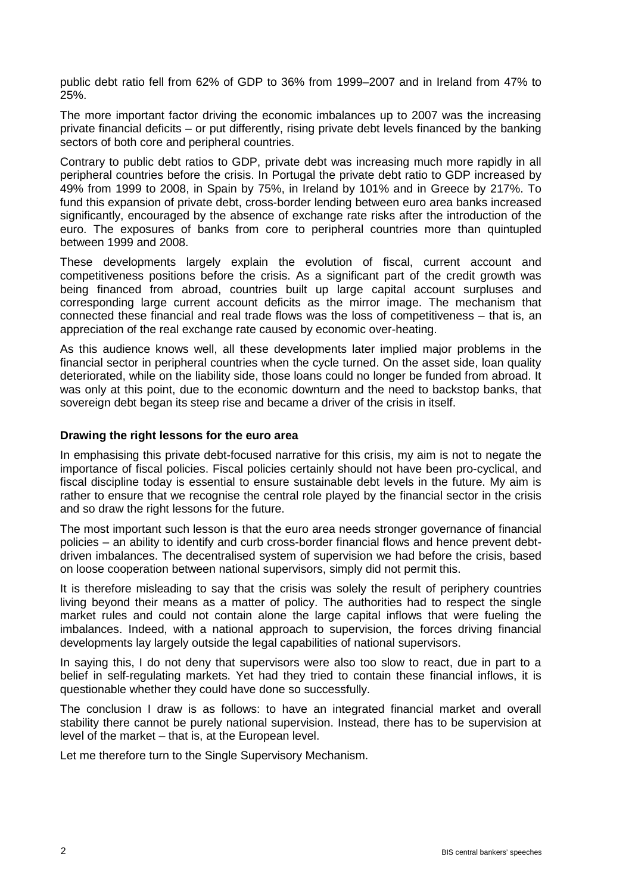public debt ratio fell from 62% of GDP to 36% from 1999–2007 and in Ireland from 47% to 25%.

The more important factor driving the economic imbalances up to 2007 was the increasing private financial deficits – or put differently, rising private debt levels financed by the banking sectors of both core and peripheral countries.

Contrary to public debt ratios to GDP, private debt was increasing much more rapidly in all peripheral countries before the crisis. In Portugal the private debt ratio to GDP increased by 49% from 1999 to 2008, in Spain by 75%, in Ireland by 101% and in Greece by 217%. To fund this expansion of private debt, cross-border lending between euro area banks increased significantly, encouraged by the absence of exchange rate risks after the introduction of the euro. The exposures of banks from core to peripheral countries more than quintupled between 1999 and 2008.

These developments largely explain the evolution of fiscal, current account and competitiveness positions before the crisis. As a significant part of the credit growth was being financed from abroad, countries built up large capital account surpluses and corresponding large current account deficits as the mirror image. The mechanism that connected these financial and real trade flows was the loss of competitiveness – that is, an appreciation of the real exchange rate caused by economic over-heating.

As this audience knows well, all these developments later implied major problems in the financial sector in peripheral countries when the cycle turned. On the asset side, loan quality deteriorated, while on the liability side, those loans could no longer be funded from abroad. It was only at this point, due to the economic downturn and the need to backstop banks, that sovereign debt began its steep rise and became a driver of the crisis in itself.

#### **Drawing the right lessons for the euro area**

In emphasising this private debt-focused narrative for this crisis, my aim is not to negate the importance of fiscal policies. Fiscal policies certainly should not have been pro-cyclical, and fiscal discipline today is essential to ensure sustainable debt levels in the future. My aim is rather to ensure that we recognise the central role played by the financial sector in the crisis and so draw the right lessons for the future.

The most important such lesson is that the euro area needs stronger governance of financial policies – an ability to identify and curb cross-border financial flows and hence prevent debtdriven imbalances. The decentralised system of supervision we had before the crisis, based on loose cooperation between national supervisors, simply did not permit this.

It is therefore misleading to say that the crisis was solely the result of periphery countries living beyond their means as a matter of policy. The authorities had to respect the single market rules and could not contain alone the large capital inflows that were fueling the imbalances. Indeed, with a national approach to supervision, the forces driving financial developments lay largely outside the legal capabilities of national supervisors.

In saying this, I do not deny that supervisors were also too slow to react, due in part to a belief in self-regulating markets. Yet had they tried to contain these financial inflows, it is questionable whether they could have done so successfully.

The conclusion I draw is as follows: to have an integrated financial market and overall stability there cannot be purely national supervision. Instead, there has to be supervision at level of the market – that is, at the European level.

Let me therefore turn to the Single Supervisory Mechanism.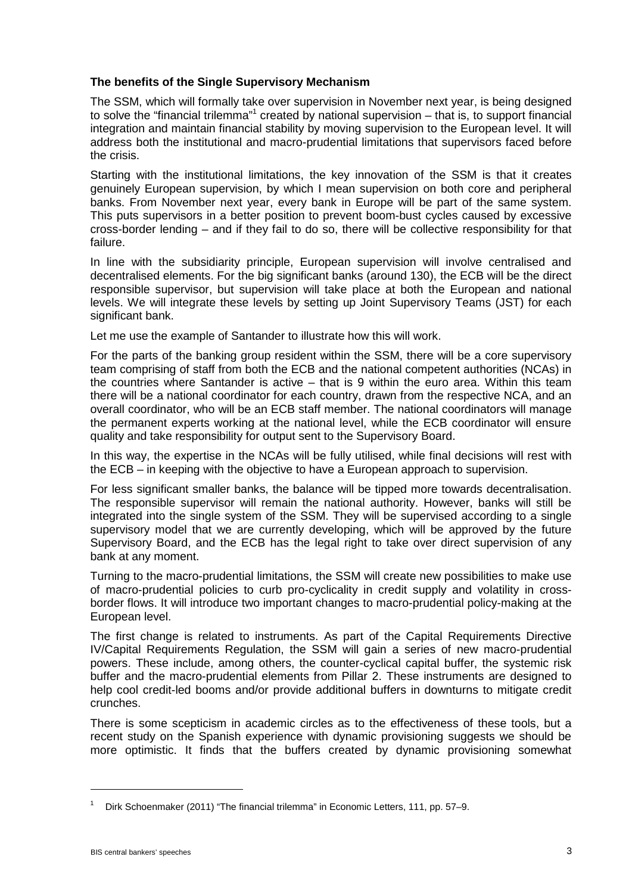## **The benefits of the Single Supervisory Mechanism**

The SSM, which will formally take over supervision in November next year, is being designed to solve the "financial trilemma"<sup>1</sup> created by national supervision  $-$  that is, to support financial integration and maintain financial stability by moving supervision to the European level. It will address both the institutional and macro-prudential limitations that supervisors faced before the crisis.

Starting with the institutional limitations, the key innovation of the SSM is that it creates genuinely European supervision, by which I mean supervision on both core and peripheral banks. From November next year, every bank in Europe will be part of the same system. This puts supervisors in a better position to prevent boom-bust cycles caused by excessive cross-border lending – and if they fail to do so, there will be collective responsibility for that failure.

In line with the subsidiarity principle, European supervision will involve centralised and decentralised elements. For the big significant banks (around 130), the ECB will be the direct responsible supervisor, but supervision will take place at both the European and national levels. We will integrate these levels by setting up Joint Supervisory Teams (JST) for each significant bank.

Let me use the example of Santander to illustrate how this will work.

For the parts of the banking group resident within the SSM, there will be a core supervisory team comprising of staff from both the ECB and the national competent authorities (NCAs) in the countries where Santander is active – that is 9 within the euro area. Within this team there will be a national coordinator for each country, drawn from the respective NCA, and an overall coordinator, who will be an ECB staff member. The national coordinators will manage the permanent experts working at the national level, while the ECB coordinator will ensure quality and take responsibility for output sent to the Supervisory Board.

In this way, the expertise in the NCAs will be fully utilised, while final decisions will rest with the ECB – in keeping with the objective to have a European approach to supervision.

For less significant smaller banks, the balance will be tipped more towards decentralisation. The responsible supervisor will remain the national authority. However, banks will still be integrated into the single system of the SSM. They will be supervised according to a single supervisory model that we are currently developing, which will be approved by the future Supervisory Board, and the ECB has the legal right to take over direct supervision of any bank at any moment.

Turning to the macro-prudential limitations, the SSM will create new possibilities to make use of macro-prudential policies to curb pro-cyclicality in credit supply and volatility in crossborder flows. It will introduce two important changes to macro-prudential policy-making at the European level.

The first change is related to instruments. As part of the Capital Requirements Directive IV/Capital Requirements Regulation, the SSM will gain a series of new macro-prudential powers. These include, among others, the counter-cyclical capital buffer, the systemic risk buffer and the macro-prudential elements from Pillar 2. These instruments are designed to help cool credit-led booms and/or provide additional buffers in downturns to mitigate credit crunches.

There is some scepticism in academic circles as to the effectiveness of these tools, but a recent study on the Spanish experience with dynamic provisioning suggests we should be more optimistic. It finds that the buffers created by dynamic provisioning somewhat

<u>.</u>

Dirk Schoenmaker (2011) "The financial trilemma" in Economic Letters, 111, pp. 57-9.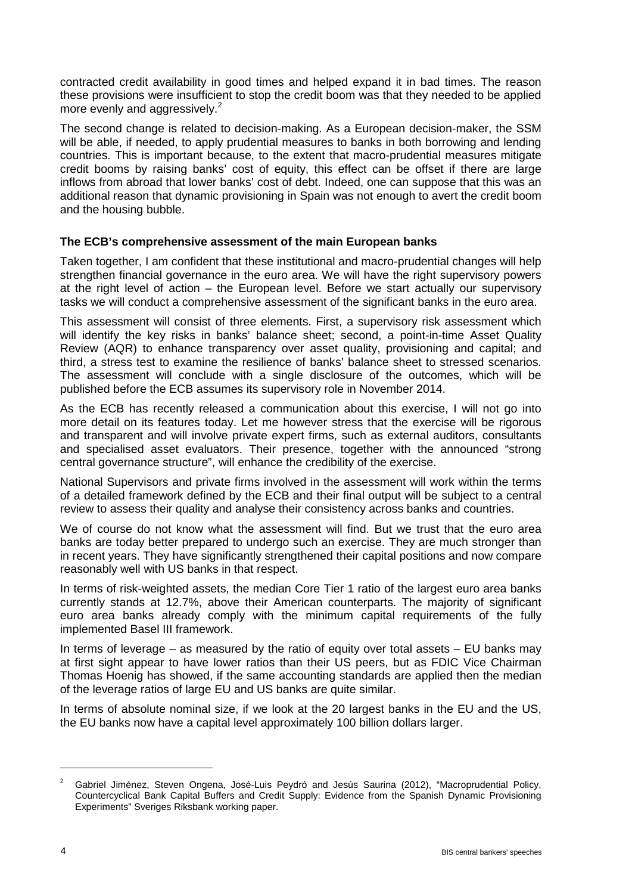contracted credit availability in good times and helped expand it in bad times. The reason these provisions were insufficient to stop the credit boom was that they needed to be applied more evenly and aggressively.<sup>2</sup>

The second change is related to decision-making. As a European decision-maker, the SSM will be able, if needed, to apply prudential measures to banks in both borrowing and lending countries. This is important because, to the extent that macro-prudential measures mitigate credit booms by raising banks' cost of equity, this effect can be offset if there are large inflows from abroad that lower banks' cost of debt. Indeed, one can suppose that this was an additional reason that dynamic provisioning in Spain was not enough to avert the credit boom and the housing bubble.

## **The ECB's comprehensive assessment of the main European banks**

Taken together, I am confident that these institutional and macro-prudential changes will help strengthen financial governance in the euro area. We will have the right supervisory powers at the right level of action – the European level. Before we start actually our supervisory tasks we will conduct a comprehensive assessment of the significant banks in the euro area.

This assessment will consist of three elements. First, a supervisory risk assessment which will identify the key risks in banks' balance sheet; second, a point-in-time Asset Quality Review (AQR) to enhance transparency over asset quality, provisioning and capital; and third, a stress test to examine the resilience of banks' balance sheet to stressed scenarios. The assessment will conclude with a single disclosure of the outcomes, which will be published before the ECB assumes its supervisory role in November 2014.

As the ECB has recently released a communication about this exercise, I will not go into more detail on its features today. Let me however stress that the exercise will be rigorous and transparent and will involve private expert firms, such as external auditors, consultants and specialised asset evaluators. Their presence, together with the announced "strong central governance structure", will enhance the credibility of the exercise.

National Supervisors and private firms involved in the assessment will work within the terms of a detailed framework defined by the ECB and their final output will be subject to a central review to assess their quality and analyse their consistency across banks and countries.

We of course do not know what the assessment will find. But we trust that the euro area banks are today better prepared to undergo such an exercise. They are much stronger than in recent years. They have significantly strengthened their capital positions and now compare reasonably well with US banks in that respect.

In terms of risk-weighted assets, the median Core Tier 1 ratio of the largest euro area banks currently stands at 12.7%, above their American counterparts. The majority of significant euro area banks already comply with the minimum capital requirements of the fully implemented Basel III framework.

In terms of leverage  $-$  as measured by the ratio of equity over total assets  $-$  EU banks may at first sight appear to have lower ratios than their US peers, but as FDIC Vice Chairman Thomas Hoenig has showed, if the same accounting standards are applied then the median of the leverage ratios of large EU and US banks are quite similar.

In terms of absolute nominal size, if we look at the 20 largest banks in the EU and the US, the EU banks now have a capital level approximately 100 billion dollars larger.

-

<sup>2</sup> Gabriel Jiménez, Steven Ongena, José-Luis Peydró and Jesús Saurina (2012), "Macroprudential Policy, Countercyclical Bank Capital Buffers and Credit Supply: Evidence from the Spanish Dynamic Provisioning Experiments" Sveriges Riksbank working paper.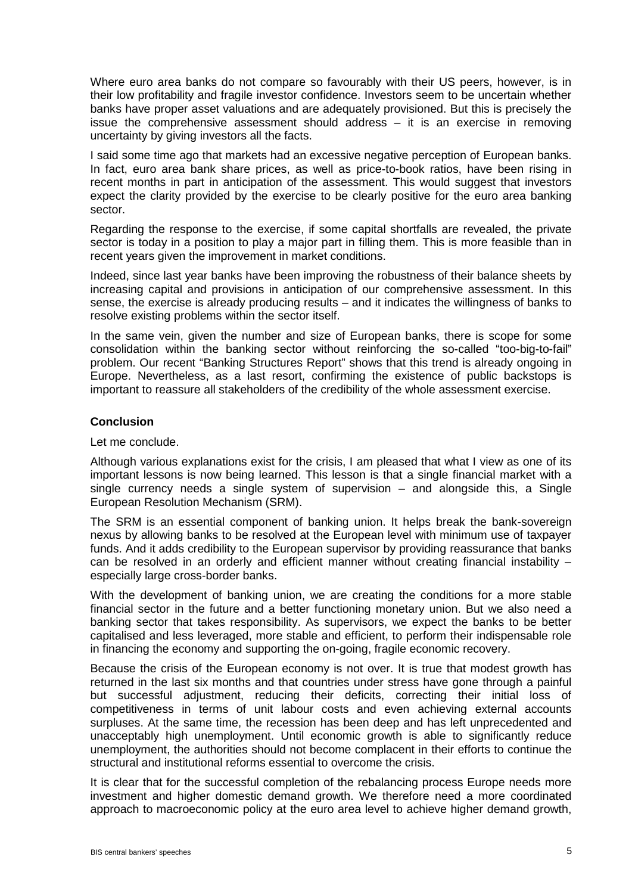Where euro area banks do not compare so favourably with their US peers, however, is in their low profitability and fragile investor confidence. Investors seem to be uncertain whether banks have proper asset valuations and are adequately provisioned. But this is precisely the issue the comprehensive assessment should address – it is an exercise in removing uncertainty by giving investors all the facts.

I said some time ago that markets had an excessive negative perception of European banks. In fact, euro area bank share prices, as well as price-to-book ratios, have been rising in recent months in part in anticipation of the assessment. This would suggest that investors expect the clarity provided by the exercise to be clearly positive for the euro area banking sector.

Regarding the response to the exercise, if some capital shortfalls are revealed, the private sector is today in a position to play a major part in filling them. This is more feasible than in recent years given the improvement in market conditions.

Indeed, since last year banks have been improving the robustness of their balance sheets by increasing capital and provisions in anticipation of our comprehensive assessment. In this sense, the exercise is already producing results – and it indicates the willingness of banks to resolve existing problems within the sector itself.

In the same vein, given the number and size of European banks, there is scope for some consolidation within the banking sector without reinforcing the so-called "too-big-to-fail" problem. Our recent "Banking Structures Report" shows that this trend is already ongoing in Europe. Nevertheless, as a last resort, confirming the existence of public backstops is important to reassure all stakeholders of the credibility of the whole assessment exercise.

## **Conclusion**

#### Let me conclude.

Although various explanations exist for the crisis, I am pleased that what I view as one of its important lessons is now being learned. This lesson is that a single financial market with a single currency needs a single system of supervision – and alongside this, a Single European Resolution Mechanism (SRM).

The SRM is an essential component of banking union. It helps break the bank-sovereign nexus by allowing banks to be resolved at the European level with minimum use of taxpayer funds. And it adds credibility to the European supervisor by providing reassurance that banks can be resolved in an orderly and efficient manner without creating financial instability – especially large cross-border banks.

With the development of banking union, we are creating the conditions for a more stable financial sector in the future and a better functioning monetary union. But we also need a banking sector that takes responsibility. As supervisors, we expect the banks to be better capitalised and less leveraged, more stable and efficient, to perform their indispensable role in financing the economy and supporting the on-going, fragile economic recovery.

Because the crisis of the European economy is not over. It is true that modest growth has returned in the last six months and that countries under stress have gone through a painful but successful adjustment, reducing their deficits, correcting their initial loss of competitiveness in terms of unit labour costs and even achieving external accounts surpluses. At the same time, the recession has been deep and has left unprecedented and unacceptably high unemployment. Until economic growth is able to significantly reduce unemployment, the authorities should not become complacent in their efforts to continue the structural and institutional reforms essential to overcome the crisis.

It is clear that for the successful completion of the rebalancing process Europe needs more investment and higher domestic demand growth. We therefore need a more coordinated approach to macroeconomic policy at the euro area level to achieve higher demand growth,